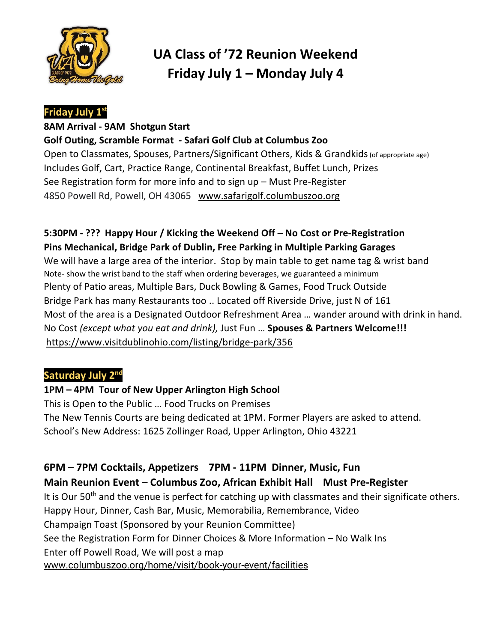

# **UA Class of '72 Reunion Weekend Friday July 1 – Monday July 4**

### **Friday July 1st**

#### **8AM Arrival - 9AM Shotgun Start Golf Outing, Scramble Format - Safari Golf Club at Columbus Zoo**

Open to Classmates, Spouses, Partners/Significant Others, Kids & Grandkids (of appropriate age) Includes Golf, Cart, Practice Range, Continental Breakfast, Buffet Lunch, Prizes See Registration form for more info and to sign up – Must Pre-Register 4850 Powell Rd, Powell, OH 43065 www.safarigolf.columbuszoo.org

#### **5:30PM - ??? Happy Hour / Kicking the Weekend Off – No Cost or Pre-Registration Pins Mechanical, Bridge Park of Dublin, Free Parking in Multiple Parking Garages**

We will have a large area of the interior. Stop by main table to get name tag & wrist band Note- show the wrist band to the staff when ordering beverages, we guaranteed a minimum Plenty of Patio areas, Multiple Bars, Duck Bowling & Games, Food Truck Outside Bridge Park has many Restaurants too .. Located off Riverside Drive, just N of 161 Most of the area is a Designated Outdoor Refreshment Area … wander around with drink in hand. No Cost *(except what you eat and drink),* Just Fun … **Spouses & Partners Welcome!!!** [https://www.visitdublinohio.com/listing/bridge-park/356](https://www.visitdublinohio.com/listing/bridge-park/356/)

#### **Saturday July 2nd**

#### **1PM – 4PM Tour of New Upper Arlington High School**

This is Open to the Public … Food Trucks on Premises The New Tennis Courts are being dedicated at 1PM. Former Players are asked to attend. School's New Address: 1625 Zollinger Road, Upper Arlington, Ohio 43221

# **6PM – 7PM Cocktails, Appetizers 7PM - 11PM Dinner, Music, Fun Main Reunion Event – Columbus Zoo, African Exhibit Hall Must Pre-Register**

It is Our  $50<sup>th</sup>$  and the venue is perfect for catching up with classmates and their significate others. Happy Hour, Dinner, Cash Bar, Music, Memorabilia, Remembrance, Video Champaign Toast (Sponsored by your Reunion Committee) See the Registration Form for Dinner Choices & More Information – No Walk Ins Enter off Powell Road, We will post a map [www.columbuszoo.org/home/visit/book-your-event/facilities](https://www.columbuszoo.org/home/visit/book-your-event/facilities)